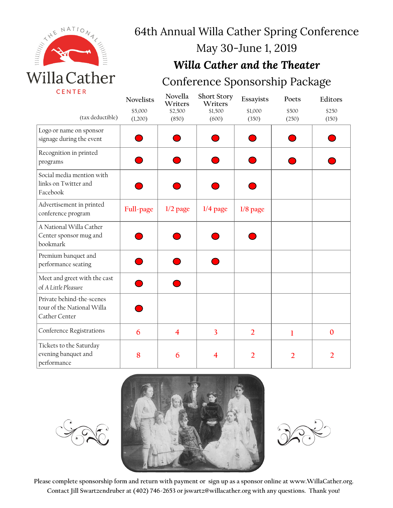

# 64th Annual Willa Cather Spring Conference

## May 30-June 1, 2019

#### *Willa Cather and the Theater*

### Conference Sponsorship Package

|                                                                          | <b>Novelists</b> | Novella<br>Writers      | <b>Short Story</b><br>Writers | Essayists      | Poets          | Editors      |
|--------------------------------------------------------------------------|------------------|-------------------------|-------------------------------|----------------|----------------|--------------|
|                                                                          | \$5,000          | \$2,500                 | \$1,500                       | \$1,000        | \$500          | \$250        |
| (tax deductible)                                                         | (1,200)          | (850)                   | (600)                         | (350)          | (250)          | (150)        |
| Logo or name on sponsor<br>signage during the event                      |                  |                         |                               |                |                |              |
| Recognition in printed<br>programs                                       |                  |                         |                               |                |                |              |
| Social media mention with<br>links on Twitter and<br>Facebook            |                  |                         |                               |                |                |              |
| Advertisement in printed<br>conference program                           | Full-page        | $1/2$ page              | $1/4$ page                    | $1/8$ page     |                |              |
| A National Willa Cather<br>Center sponsor mug and<br>bookmark            |                  |                         |                               |                |                |              |
| Premium banquet and<br>performance seating                               |                  |                         |                               |                |                |              |
| Meet and greet with the cast<br>of A Little Pleasure                     |                  |                         |                               |                |                |              |
| Private behind-the-scenes<br>tour of the National Willa<br>Cather Center |                  |                         |                               |                |                |              |
| Conference Registrations                                                 | 6                | $\overline{\mathbf{4}}$ | $\overline{3}$                | $\overline{2}$ | 1              | $\mathbf{0}$ |
| Tickets to the Saturday<br>evening banquet and<br>performance            | 8                | 6                       | 4                             | $\overline{2}$ | $\overline{2}$ | 2            |





**Please complete sponsorship form and return with payment or sign up as a sponsor online at www.WillaCather.org. Contact Jill Swartzendruber at (402) 746-2653 or jswartz@willacather.org with any questions. Thank you!**